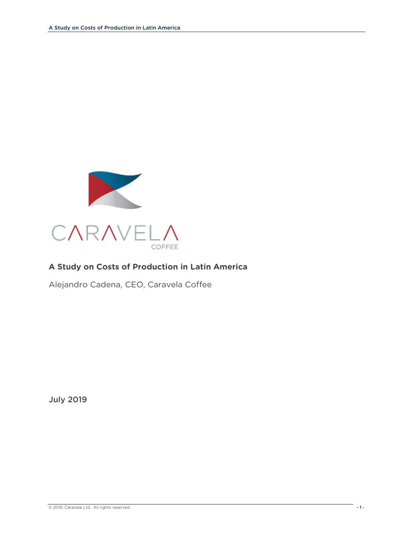

# **A Study on Costs of Production in Latin America**

Alejandro Cadena, CEO, Caravela Coffee

July 2019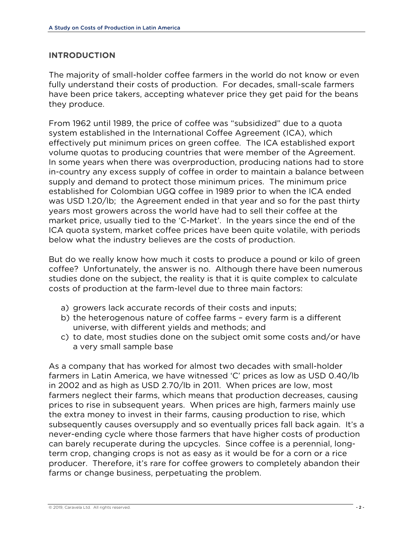### **INTRODUCTION**

The majority of small-holder coffee farmers in the world do not know or even fully understand their costs of production. For decades, small-scale farmers have been price takers, accepting whatever price they get paid for the beans they produce.

From 1962 until 1989, the price of coffee was "subsidized" due to a quota system established in the International Coffee Agreement (ICA), which effectively put minimum prices on green coffee. The ICA established export volume quotas to producing countries that were member of the Agreement. In some years when there was overproduction, producing nations had to store in-country any excess supply of coffee in order to maintain a balance between supply and demand to protect those minimum prices. The minimum price established for Colombian UGQ coffee in 1989 prior to when the ICA ended was USD 1.20/lb; the Agreement ended in that year and so for the past thirty years most growers across the world have had to sell their coffee at the market price, usually tied to the 'C-Market'. In the years since the end of the ICA quota system, market coffee prices have been quite volatile, with periods below what the industry believes are the costs of production.

But do we really know how much it costs to produce a pound or kilo of green coffee? Unfortunately, the answer is no. Although there have been numerous studies done on the subject, the reality is that it is quite complex to calculate costs of production at the farm-level due to three main factors:

- a) growers lack accurate records of their costs and inputs;
- b) the heterogenous nature of coffee farms every farm is a different universe, with different yields and methods; and
- c) to date, most studies done on the subject omit some costs and/or have a very small sample base

As a company that has worked for almost two decades with small-holder farmers in Latin America, we have witnessed 'C' prices as low as USD 0.40/lb in 2002 and as high as USD 2.70/lb in 2011. When prices are low, most farmers neglect their farms, which means that production decreases, causing prices to rise in subsequent years. When prices are high, farmers mainly use the extra money to invest in their farms, causing production to rise, which subsequently causes oversupply and so eventually prices fall back again. It's a never-ending cycle where those farmers that have higher costs of production can barely recuperate during the upcycles. Since coffee is a perennial, longterm crop, changing crops is not as easy as it would be for a corn or a rice producer. Therefore, it's rare for coffee growers to completely abandon their farms or change business, perpetuating the problem.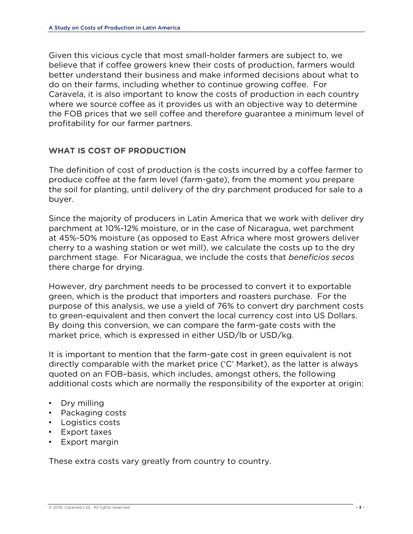Given this vicious cycle that most small-holder farmers are subject to, we believe that if coffee growers knew their costs of production, farmers would better understand their business and make informed decisions about what to do on their farms, including whether to continue growing coffee. For Caravela, it is also important to know the costs of production in each country where we source coffee as it provides us with an objective way to determine the FOB prices that we sell coffee and therefore guarantee a minimum level of profitability for our farmer partners.

### **WHAT IS COST OF PRODUCTION**

The definition of cost of production is the costs incurred by a coffee farmer to produce coffee at the farm level (farm-gate), from the moment you prepare the soil for planting, until delivery of the dry parchment produced for sale to a buyer.

Since the majority of producers in Latin America that we work with deliver dry parchment at 10%-12% moisture, or in the case of Nicaragua, wet parchment at 45%-50% moisture (as opposed to East Africa where most growers deliver cherry to a washing station or wet mill), we calculate the costs up to the dry parchment stage. For Nicaragua, we include the costs that *beneficios secos* there charge for drying.

However, dry parchment needs to be processed to convert it to exportable green, which is the product that importers and roasters purchase. For the purpose of this analysis, we use a yield of 76% to convert dry parchment costs to green-equivalent and then convert the local currency cost into US Dollars. By doing this conversion, we can compare the farm-gate costs with the market price, which is expressed in either USD/lb or USD/kg.

It is important to mention that the farm-gate cost in green equivalent is not directly comparable with the market price ('C' Market), as the latter is always quoted on an FOB–basis, which includes, amongst others, the following additional costs which are normally the responsibility of the exporter at origin:

- Dry milling
- Packaging costs
- Logistics costs
- Export taxes
- Export margin

These extra costs vary greatly from country to country.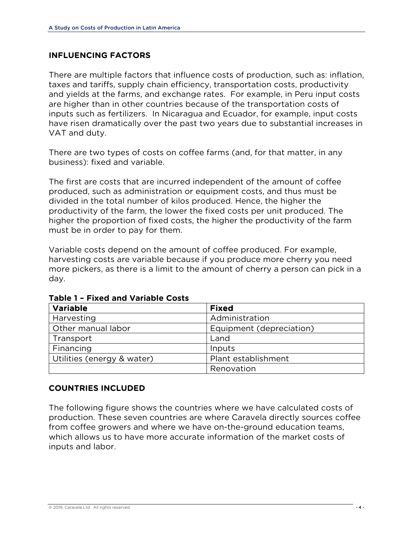### **INFLUENCING FACTORS**

There are multiple factors that influence costs of production, such as: inflation, taxes and tariffs, supply chain efficiency, transportation costs, productivity and yields at the farms, and exchange rates. For example, in Peru input costs are higher than in other countries because of the transportation costs of inputs such as fertilizers. In Nicaragua and Ecuador, for example, input costs have risen dramatically over the past two years due to substantial increases in VAT and duty.

There are two types of costs on coffee farms (and, for that matter, in any business): fixed and variable.

The first are costs that are incurred independent of the amount of coffee produced, such as administration or equipment costs, and thus must be divided in the total number of kilos produced. Hence, the higher the productivity of the farm, the lower the fixed costs per unit produced. The higher the proportion of fixed costs, the higher the productivity of the farm must be in order to pay for them.

Variable costs depend on the amount of coffee produced. For example, harvesting costs are variable because if you produce more cherry you need more pickers, as there is a limit to the amount of cherry a person can pick in a day.

| <b>Variable</b>            | <b>Fixed</b>             |
|----------------------------|--------------------------|
| Harvesting                 | Administration           |
| Other manual labor         | Equipment (depreciation) |
| Transport                  | Land                     |
| Financing                  | Inputs                   |
| Utilities (energy & water) | Plant establishment      |
|                            | Renovation               |

**Table 1 – Fixed and Variable Costs**

### **COUNTRIES INCLUDED**

The following figure shows the countries where we have calculated costs of production. These seven countries are where Caravela directly sources coffee from coffee growers and where we have on-the-ground education teams, which allows us to have more accurate information of the market costs of inputs and labor.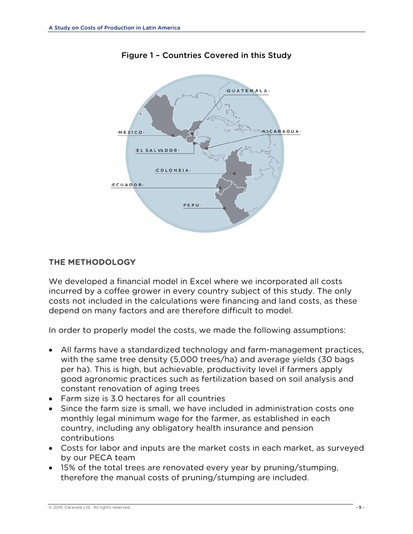

Figure 1 – Countries Covered in this Study

# **THE METHODOLOGY**

We developed a financial model in Excel where we incorporated all costs incurred by a coffee grower in every country subject of this study. The only costs not included in the calculations were financing and land costs, as these depend on many factors and are therefore difficult to model.

In order to properly model the costs, we made the following assumptions:

- All farms have a standardized technology and farm-management practices, with the same tree density (5,000 trees/ha) and average yields (30 bags per ha). This is high, but achievable, productivity level if farmers apply good agronomic practices such as fertilization based on soil analysis and constant renovation of aging trees
- Farm size is 3.0 hectares for all countries
- Since the farm size is small, we have included in administration costs one monthly legal minimum wage for the farmer, as established in each country, including any obligatory health insurance and pension contributions
- Costs for labor and inputs are the market costs in each market, as surveyed by our PECA team
- 15% of the total trees are renovated every year by pruning/stumping, therefore the manual costs of pruning/stumping are included.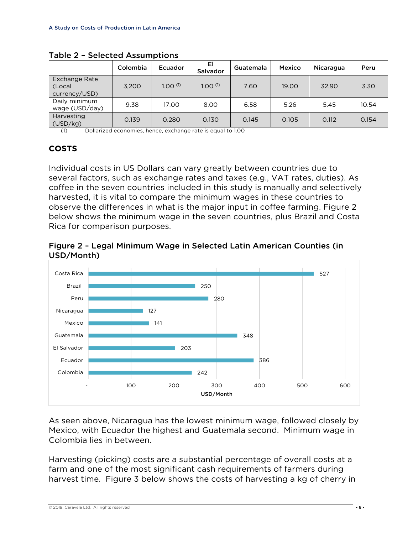|                                          | Colombia | Ecuador      | EI<br>Salvador | Guatemala | Mexico | Nicaragua | Peru  |
|------------------------------------------|----------|--------------|----------------|-----------|--------|-----------|-------|
| Exchange Rate<br>(Local<br>currency/USD) | 3.200    | $1.00^{(1)}$ | $1.00^{(1)}$   | 7.60      | 19.00  | 32.90     | 3.30  |
| Daily minimum<br>wage (USD/day)          | 9.38     | 17.00        | 8.00           | 6.58      | 5.26   | 5.45      | 10.54 |
| Harvesting<br>(USD/kg)                   | 0.139    | 0.280        | 0.130          | 0.145     | 0.105  | 0.112     | 0.154 |

Table 2 – Selected Assumptions

(1) Dollarized economies, hence, exchange rate is equal to 1.00

# **COSTS**

Individual costs in US Dollars can vary greatly between countries due to several factors, such as exchange rates and taxes (e.g., VAT rates, duties). As coffee in the seven countries included in this study is manually and selectively harvested, it is vital to compare the minimum wages in these countries to observe the differences in what is the major input in coffee farming. Figure 2 below shows the minimum wage in the seven countries, plus Brazil and Costa Rica for comparison purposes.





As seen above, Nicaragua has the lowest minimum wage, followed closely by Mexico, with Ecuador the highest and Guatemala second. Minimum wage in Colombia lies in between.

Harvesting (picking) costs are a substantial percentage of overall costs at a farm and one of the most significant cash requirements of farmers during harvest time. Figure 3 below shows the costs of harvesting a kg of cherry in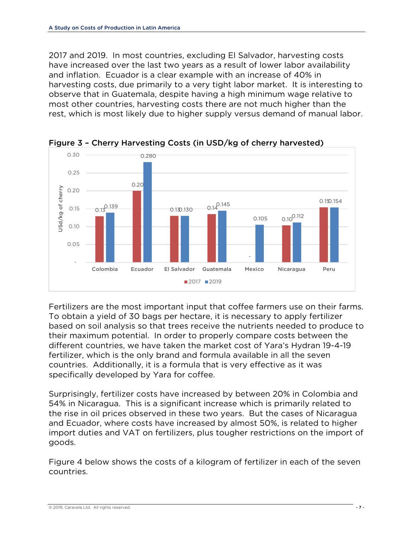2017 and 2019. In most countries, excluding El Salvador, harvesting costs have increased over the last two years as a result of lower labor availability and inflation. Ecuador is a clear example with an increase of 40% in harvesting costs, due primarily to a very tight labor market. It is interesting to observe that in Guatemala, despite having a high minimum wage relative to most other countries, harvesting costs there are not much higher than the rest, which is most likely due to higher supply versus demand of manual labor.



Figure 3 – Cherry Harvesting Costs (in USD/kg of cherry harvested)

Fertilizers are the most important input that coffee farmers use on their farms. To obtain a yield of 30 bags per hectare, it is necessary to apply fertilizer based on soil analysis so that trees receive the nutrients needed to produce to their maximum potential. In order to properly compare costs between the different countries, we have taken the market cost of Yara's Hydran 19-4-19 fertilizer, which is the only brand and formula available in all the seven countries. Additionally, it is a formula that is very effective as it was specifically developed by Yara for coffee.

Surprisingly, fertilizer costs have increased by between 20% in Colombia and 54% in Nicaragua. This is a significant increase which is primarily related to the rise in oil prices observed in these two years. But the cases of Nicaragua and Ecuador, where costs have increased by almost 50%, is related to higher import duties and VAT on fertilizers, plus tougher restrictions on the import of goods.

Figure 4 below shows the costs of a kilogram of fertilizer in each of the seven countries.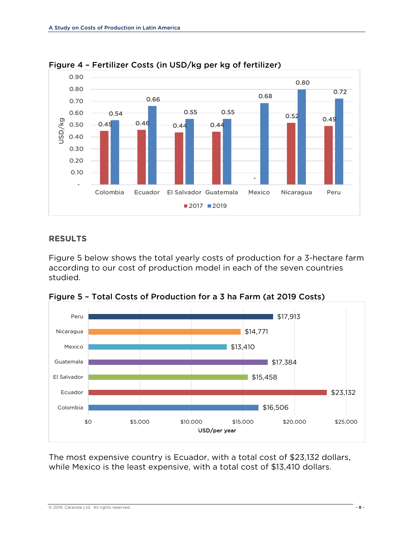

Figure 4 – Fertilizer Costs (in USD/kg per kg of fertilizer)

# **RESULTS**

Figure 5 below shows the total yearly costs of production for a 3-hectare farm according to our cost of production model in each of the seven countries studied.



Figure 5 – Total Costs of Production for a 3 ha Farm (at 2019 Costs)

The most expensive country is Ecuador, with a total cost of \$23,132 dollars, while Mexico is the least expensive, with a total cost of \$13,410 dollars.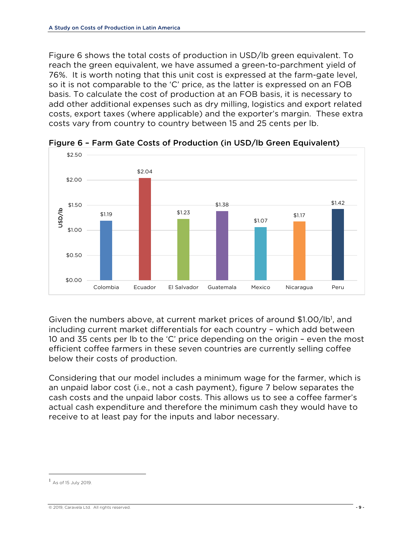Figure 6 shows the total costs of production in USD/lb green equivalent. To reach the green equivalent, we have assumed a green-to-parchment yield of 76%. It is worth noting that this unit cost is expressed at the farm-gate level, so it is not comparable to the 'C' price, as the latter is expressed on an FOB basis. To calculate the cost of production at an FOB basis, it is necessary to add other additional expenses such as dry milling, logistics and export related costs, export taxes (where applicable) and the exporter's margin. These extra costs vary from country to country between 15 and 25 cents per lb.



Figure 6 – Farm Gate Costs of Production (in USD/lb Green Equivalent)

Given the numbers above, at current market prices of around \$1.00/lb<sup>1</sup>, and including current market differentials for each country – which add between 10 and 35 cents per lb to the 'C' price depending on the origin – even the most efficient coffee farmers in these seven countries are currently selling coffee below their costs of production.

Considering that our model includes a minimum wage for the farmer, which is an unpaid labor cost (i.e., not a cash payment), figure 7 below separates the cash costs and the unpaid labor costs. This allows us to see a coffee farmer's actual cash expenditure and therefore the minimum cash they would have to receive to at least pay for the inputs and labor necessary.

 $<sup>1</sup>$  As of 15 July 2019.</sup>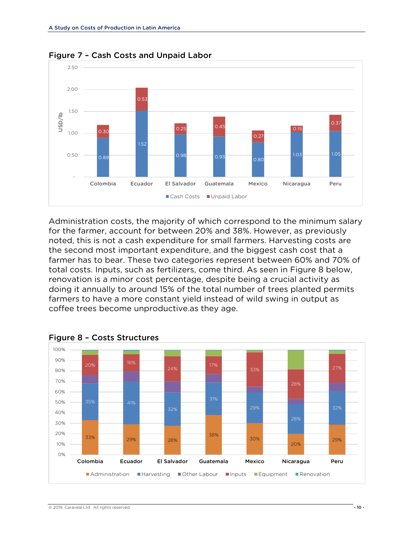

Figure 7 – Cash Costs and Unpaid Labor

Administration costs, the majority of which correspond to the minimum salary for the farmer, account for between 20% and 38%. However, as previously noted, this is not a cash expenditure for small farmers. Harvesting costs are the second most important expenditure, and the biggest cash cost that a farmer has to bear. These two categories represent between 60% and 70% of total costs. Inputs, such as fertilizers, come third. As seen in Figure 8 below, renovation is a minor cost percentage, despite being a crucial activity as doing it annually to around 15% of the total number of trees planted permits farmers to have a more constant yield instead of wild swing in output as coffee trees become unproductive.as they age.



Figure 8 – Costs Structures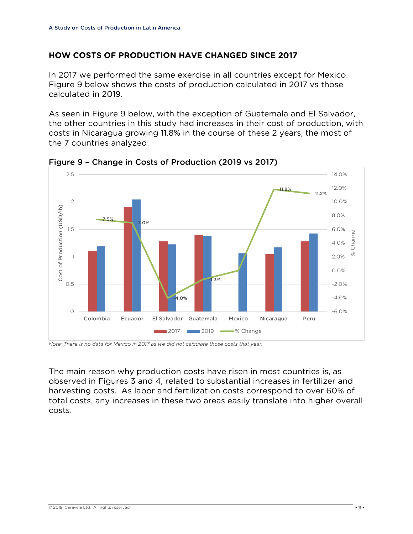### **HOW COSTS OF PRODUCTION HAVE CHANGED SINCE 2017**

In 2017 we performed the same exercise in all countries except for Mexico. Figure 9 below shows the costs of production calculated in 2017 vs those calculated in 2019.

As seen in Figure 9 below, with the exception of Guatemala and El Salvador, the other countries in this study had increases in their cost of production, with costs in Nicaragua growing 11.8% in the course of these 2 years, the most of the 7 countries analyzed.



Figure 9 – Change in Costs of Production (2019 vs 2017)

*Note: There is no data for Mexico in 2017 as we did not calculate those costs that year.*

The main reason why production costs have risen in most countries is, as observed in Figures 3 and 4, related to substantial increases in fertilizer and harvesting costs. As labor and fertilization costs correspond to over 60% of total costs, any increases in these two areas easily translate into higher overall costs.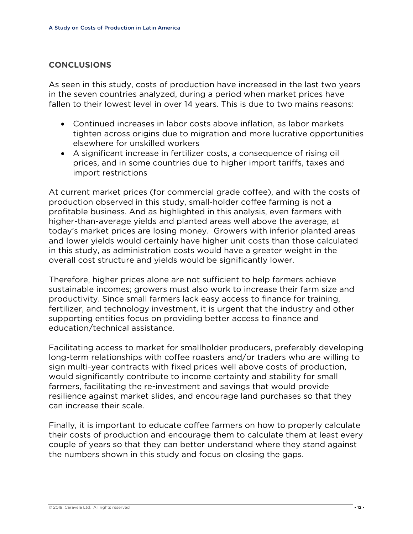## **CONCLUSIONS**

As seen in this study, costs of production have increased in the last two years in the seven countries analyzed, during a period when market prices have fallen to their lowest level in over 14 years. This is due to two mains reasons:

- Continued increases in labor costs above inflation, as labor markets tighten across origins due to migration and more lucrative opportunities elsewhere for unskilled workers
- A significant increase in fertilizer costs, a consequence of rising oil prices, and in some countries due to higher import tariffs, taxes and import restrictions

At current market prices (for commercial grade coffee), and with the costs of production observed in this study, small-holder coffee farming is not a profitable business. And as highlighted in this analysis, even farmers with higher-than-average yields and planted areas well above the average, at today's market prices are losing money. Growers with inferior planted areas and lower yields would certainly have higher unit costs than those calculated in this study, as administration costs would have a greater weight in the overall cost structure and yields would be significantly lower.

Therefore, higher prices alone are not sufficient to help farmers achieve sustainable incomes; growers must also work to increase their farm size and productivity. Since small farmers lack easy access to finance for training, fertilizer, and technology investment, it is urgent that the industry and other supporting entities focus on providing better access to finance and education/technical assistance.

Facilitating access to market for smallholder producers, preferably developing long-term relationships with coffee roasters and/or traders who are willing to sign multi-year contracts with fixed prices well above costs of production, would significantly contribute to income certainty and stability for small farmers, facilitating the re-investment and savings that would provide resilience against market slides, and encourage land purchases so that they can increase their scale.

Finally, it is important to educate coffee farmers on how to properly calculate their costs of production and encourage them to calculate them at least every couple of years so that they can better understand where they stand against the numbers shown in this study and focus on closing the gaps.